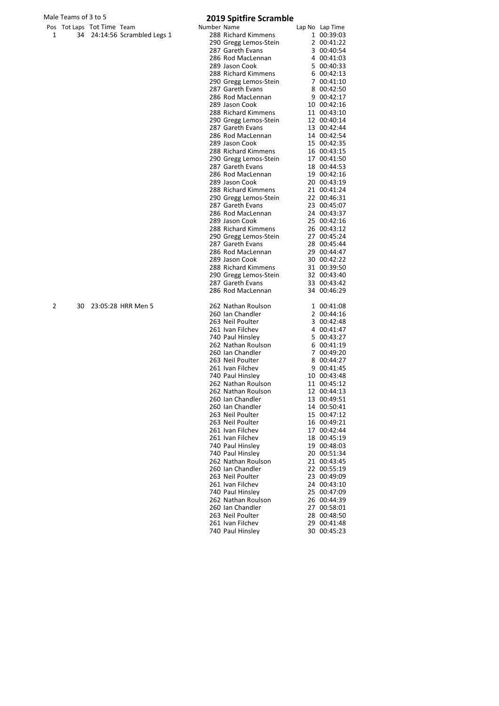| Male Teams of 3 to 5 |    |                            |                              | <b>2019 Spitfire Scramble</b> |                                              |  |                            |  |
|----------------------|----|----------------------------|------------------------------|-------------------------------|----------------------------------------------|--|----------------------------|--|
|                      |    | Pos Tot Laps Tot Time Team |                              | Number Name                   |                                              |  | Lap No Lap Time            |  |
| 1                    |    |                            | 34 24:14:56 Scrambled Legs 1 |                               | 288 Richard Kimmens                          |  | 1 00:39:03                 |  |
|                      |    |                            |                              |                               | 290 Gregg Lemos-Stein                        |  | 2 00:41:22                 |  |
|                      |    |                            |                              |                               | 287 Gareth Evans                             |  | 3 00:40:54                 |  |
|                      |    |                            |                              |                               | 286 Rod MacLennan                            |  | 4 00:41:03                 |  |
|                      |    |                            |                              |                               | 289 Jason Cook                               |  | 5 00:40:33                 |  |
|                      |    |                            |                              |                               | 288 Richard Kimmens                          |  | 6 00:42:13                 |  |
|                      |    |                            |                              |                               | 290 Gregg Lemos-Stein                        |  | 7 00:41:10                 |  |
|                      |    |                            |                              |                               | 287 Gareth Evans                             |  | 8 00:42:50                 |  |
|                      |    |                            |                              |                               | 286 Rod MacLennan                            |  | 9 00:42:17                 |  |
|                      |    |                            |                              |                               | 289 Jason Cook                               |  | 10 00:42:16                |  |
|                      |    |                            |                              |                               | 288 Richard Kimmens                          |  | 11 00:43:10                |  |
|                      |    |                            |                              |                               | 290 Gregg Lemos-Stein                        |  | 12 00:40:14                |  |
|                      |    |                            |                              |                               | 287 Gareth Evans                             |  | 13 00:42:44                |  |
|                      |    |                            |                              |                               | 286 Rod MacLennan                            |  | 14 00:42:54                |  |
|                      |    |                            |                              |                               | 289 Jason Cook                               |  | 15 00:42:35                |  |
|                      |    |                            |                              |                               | 288 Richard Kimmens                          |  | 16 00:43:15                |  |
|                      |    |                            |                              |                               | 290 Gregg Lemos-Stein                        |  | 17 00:41:50                |  |
|                      |    |                            |                              |                               | 287 Gareth Evans                             |  | 18 00:44:53                |  |
|                      |    |                            |                              |                               | 286 Rod MacLennan                            |  | 19 00:42:16                |  |
|                      |    |                            |                              |                               | 289 Jason Cook                               |  | 20 00:43:19                |  |
|                      |    |                            |                              |                               | 288 Richard Kimmens<br>290 Gregg Lemos-Stein |  | 21 00:41:24<br>22 00:46:31 |  |
|                      |    |                            |                              |                               | 287 Gareth Evans                             |  |                            |  |
|                      |    |                            |                              |                               | 286 Rod MacLennan                            |  | 23 00:45:07<br>24 00:43:37 |  |
|                      |    |                            |                              |                               | 289 Jason Cook                               |  | 25 00:42:16                |  |
|                      |    |                            |                              |                               | 288 Richard Kimmens                          |  | 26 00:43:12                |  |
|                      |    |                            |                              |                               | 290 Gregg Lemos-Stein                        |  | 27 00:45:24                |  |
|                      |    |                            |                              |                               | 287 Gareth Evans                             |  | 28 00:45:44                |  |
|                      |    |                            |                              |                               | 286 Rod MacLennan                            |  | 29 00:44:47                |  |
|                      |    |                            |                              |                               | 289 Jason Cook                               |  | 30 00:42:22                |  |
|                      |    |                            |                              |                               | 288 Richard Kimmens                          |  | 31 00:39:50                |  |
|                      |    |                            |                              |                               | 290 Gregg Lemos-Stein                        |  | 32 00:43:40                |  |
|                      |    |                            |                              |                               | 287 Gareth Evans                             |  | 33 00:43:42                |  |
|                      |    |                            |                              |                               | 286 Rod MacLennan                            |  | 34 00:46:29                |  |
| 2                    | 30 |                            | 23:05:28 HRR Men 5           |                               | 262 Nathan Roulson                           |  | 1 00:41:08                 |  |
|                      |    |                            |                              |                               | 260 Ian Chandler                             |  | 2 00:44:16                 |  |
|                      |    |                            |                              |                               | 263 Neil Poulter                             |  | 3 00:42:48                 |  |
|                      |    |                            |                              |                               | 261 Ivan Filchev                             |  | 4 00:41:47                 |  |
|                      |    |                            |                              |                               | 740 Paul Hinsley                             |  | 5 00:43:27                 |  |
|                      |    |                            |                              |                               | 262 Nathan Roulson                           |  | 6 00:41:19                 |  |
|                      |    |                            |                              |                               | 260 Ian Chandler                             |  | 7 00:49:20                 |  |
|                      |    |                            |                              |                               | 263 Neil Poulter                             |  | 8 00:44:27                 |  |
|                      |    |                            |                              |                               | 261 Ivan Filchev                             |  | 9 00:41:45                 |  |
|                      |    |                            |                              |                               | 740 Paul Hinsley                             |  | 10 00:43:48                |  |
|                      |    |                            |                              |                               | 262 Nathan Roulson                           |  | 11 00:45:12                |  |
|                      |    |                            |                              |                               | 262 Nathan Roulson                           |  | 12 00:44:13                |  |
|                      |    |                            |                              |                               | 260 Ian Chandler                             |  | 13 00:49:51                |  |
|                      |    |                            |                              |                               | 260 Ian Chandler                             |  | 14 00:50:41                |  |
|                      |    |                            |                              |                               | 263 Neil Poulter                             |  | 15 00:47:12                |  |
|                      |    |                            |                              |                               | 263 Neil Poulter                             |  | 16 00:49:21                |  |
|                      |    |                            |                              |                               | 261 Ivan Filchev                             |  | 17 00:42:44                |  |
|                      |    |                            |                              |                               | 261 Ivan Filchev                             |  | 18 00:45:19                |  |
|                      |    |                            |                              |                               | 740 Paul Hinsley                             |  | 19 00:48:03                |  |
|                      |    |                            |                              |                               | 740 Paul Hinsley                             |  | 20 00:51:34                |  |
|                      |    |                            |                              |                               | 262 Nathan Roulson                           |  | 21 00:43:45                |  |
|                      |    |                            |                              |                               | 260 Ian Chandler                             |  | 22 00:55:19                |  |
|                      |    |                            |                              |                               | 263 Neil Poulter                             |  | 23 00:49:09                |  |
|                      |    |                            |                              |                               | 261 Ivan Filchev                             |  | 24 00:43:10                |  |
|                      |    |                            |                              |                               | 740 Paul Hinsley                             |  | 25 00:47:09                |  |
|                      |    |                            |                              |                               | 262 Nathan Roulson                           |  | 26 00:44:39                |  |
|                      |    |                            |                              |                               | 260 Ian Chandler                             |  | 27 00:58:01                |  |
|                      |    |                            |                              |                               | 263 Neil Poulter                             |  | 28 00:48:50                |  |
|                      |    |                            |                              |                               | 261 Ivan Filchev                             |  | 29 00:41:48                |  |
|                      |    |                            |                              |                               | 740 Paul Hinsley                             |  | 30 00:45:23                |  |
|                      |    |                            |                              |                               |                                              |  |                            |  |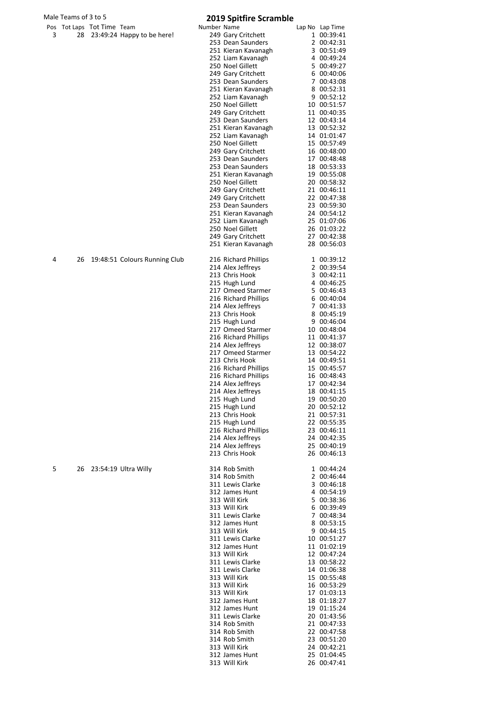|   | Male Teams of 3 to 5 |                            |                               |             | <b>2019 Spitfire Scramble</b>            |                            |
|---|----------------------|----------------------------|-------------------------------|-------------|------------------------------------------|----------------------------|
|   |                      | Pos Tot Laps Tot Time Team |                               | Number Name |                                          | Lap No Lap Time            |
| 3 |                      |                            | 28 23:49:24 Happy to be here! |             | 249 Gary Critchett<br>253 Dean Saunders  | 1 00:39:41                 |
|   |                      |                            |                               |             | 251 Kieran Kavanagh                      | 2 00:42:31<br>3 00:51:49   |
|   |                      |                            |                               |             | 252 Liam Kavanagh                        | 4 00:49:24                 |
|   |                      |                            |                               |             | 250 Noel Gillett                         | 5 00:49:27                 |
|   |                      |                            |                               |             | 249 Gary Critchett                       | 6 00:40:06                 |
|   |                      |                            |                               |             | 253 Dean Saunders<br>251 Kieran Kavanagh | 7 00:43:08<br>8 00:52:31   |
|   |                      |                            |                               |             | 252 Liam Kavanagh                        | 9 00:52:12                 |
|   |                      |                            |                               |             | 250 Noel Gillett                         | 10 00:51:57                |
|   |                      |                            |                               |             | 249 Gary Critchett                       | 11 00:40:35                |
|   |                      |                            |                               |             | 253 Dean Saunders<br>251 Kieran Kavanagh | 12 00:43:14<br>13 00:52:32 |
|   |                      |                            |                               |             | 252 Liam Kavanagh                        | 14 01:01:47                |
|   |                      |                            |                               |             | 250 Noel Gillett                         | 15 00:57:49                |
|   |                      |                            |                               |             | 249 Gary Critchett                       | 16 00:48:00                |
|   |                      |                            |                               |             | 253 Dean Saunders<br>253 Dean Saunders   | 17 00:48:48<br>18 00:53:33 |
|   |                      |                            |                               |             | 251 Kieran Kavanagh                      | 19 00:55:08                |
|   |                      |                            |                               |             | 250 Noel Gillett                         | 20 00:58:32                |
|   |                      |                            |                               |             | 249 Gary Critchett                       | 21 00:46:11                |
|   |                      |                            |                               |             | 249 Gary Critchett<br>253 Dean Saunders  | 22 00:47:38<br>23 00:59:30 |
|   |                      |                            |                               |             | 251 Kieran Kavanagh                      | 24 00:54:12                |
|   |                      |                            |                               |             | 252 Liam Kavanagh                        | 25 01:07:06                |
|   |                      |                            |                               |             | 250 Noel Gillett                         | 26 01:03:22                |
|   |                      |                            |                               |             | 249 Gary Critchett                       | 27 00:42:38                |
|   |                      |                            |                               |             | 251 Kieran Kavanagh                      | 28 00:56:03                |
| 4 | 26                   |                            | 19:48:51 Colours Running Club |             | 216 Richard Phillips                     | 1 00:39:12                 |
|   |                      |                            |                               |             | 214 Alex Jeffreys                        | 2 00:39:54                 |
|   |                      |                            |                               |             | 213 Chris Hook<br>215 Hugh Lund          | 3 00:42:11<br>4 00:46:25   |
|   |                      |                            |                               |             | 217 Omeed Starmer                        | 5 00:46:43                 |
|   |                      |                            |                               |             | 216 Richard Phillips                     | 6 00:40:04                 |
|   |                      |                            |                               |             | 214 Alex Jeffreys<br>213 Chris Hook      | 7 00:41:33<br>8 00:45:19   |
|   |                      |                            |                               |             | 215 Hugh Lund                            | 9 00:46:04                 |
|   |                      |                            |                               |             | 217 Omeed Starmer                        | 10 00:48:04                |
|   |                      |                            |                               |             | 216 Richard Phillips                     | 11 00:41:37                |
|   |                      |                            |                               |             | 214 Alex Jeffreys<br>217 Omeed Starmer   | 12 00:38:07<br>13 00:54:22 |
|   |                      |                            |                               |             | 213 Chris Hook                           | 14 00:49:51                |
|   |                      |                            |                               |             | 216 Richard Phillips                     | 15 00:45:57                |
|   |                      |                            |                               |             | 216 Richard Phillips                     | 16 00:48:43<br>17 00:42:34 |
|   |                      |                            |                               |             | 214 Alex Jeffreys<br>214 Alex Jeffreys   | 18 00:41:15                |
|   |                      |                            |                               |             | 215 Hugh Lund                            | 19 00:50:20                |
|   |                      |                            |                               |             | 215 Hugh Lund                            | 20 00:52:12                |
|   |                      |                            |                               |             | 213 Chris Hook                           | 21 00:57:31                |
|   |                      |                            |                               |             | 215 Hugh Lund<br>216 Richard Phillips    | 22 00:55:35<br>23 00:46:11 |
|   |                      |                            |                               |             | 214 Alex Jeffreys                        | 24 00:42:35                |
|   |                      |                            |                               |             | 214 Alex Jeffreys                        | 25 00:40:19                |
|   |                      |                            |                               |             | 213 Chris Hook                           | 26 00:46:13                |
| 5 | 26                   |                            | 23:54:19 Ultra Willy          |             | 314 Rob Smith                            | 1 00:44:24                 |
|   |                      |                            |                               |             | 314 Rob Smith<br>311 Lewis Clarke        | 2 00:46:44                 |
|   |                      |                            |                               |             | 312 James Hunt                           | 3 00:46:18<br>4 00:54:19   |
|   |                      |                            |                               |             | 313 Will Kirk                            | 5 00:38:36                 |
|   |                      |                            |                               |             | 313 Will Kirk                            | 6 00:39:49                 |
|   |                      |                            |                               |             | 311 Lewis Clarke                         | 7 00:48:34                 |
|   |                      |                            |                               |             | 312 James Hunt<br>313 Will Kirk          | 8 00:53:15<br>9 00:44:15   |
|   |                      |                            |                               |             | 311 Lewis Clarke                         | 10 00:51:27                |
|   |                      |                            |                               |             | 312 James Hunt                           | 11 01:02:19                |
|   |                      |                            |                               |             | 313 Will Kirk<br>311 Lewis Clarke        | 12 00:47:24<br>13 00:58:22 |
|   |                      |                            |                               |             | 311 Lewis Clarke                         | 14 01:06:38                |
|   |                      |                            |                               |             | 313 Will Kirk                            | 15 00:55:48                |
|   |                      |                            |                               |             | 313 Will Kirk<br>313 Will Kirk           | 16 00:53:29                |
|   |                      |                            |                               |             | 312 James Hunt                           | 17 01:03:13<br>18 01:18:27 |
|   |                      |                            |                               |             | 312 James Hunt                           | 19 01:15:24                |
|   |                      |                            |                               |             | 311 Lewis Clarke                         | 20 01:43:56                |
|   |                      |                            |                               |             | 314 Rob Smith<br>314 Rob Smith           | 21 00:47:33<br>22 00:47:58 |
|   |                      |                            |                               |             | 314 Rob Smith                            | 23 00:51:20                |
|   |                      |                            |                               |             | 313 Will Kirk                            | 24 00:42:21                |
|   |                      |                            |                               |             | 312 James Hunt<br>313 Will Kirk          | 25 01:04:45<br>26 00:47:41 |
|   |                      |                            |                               |             |                                          |                            |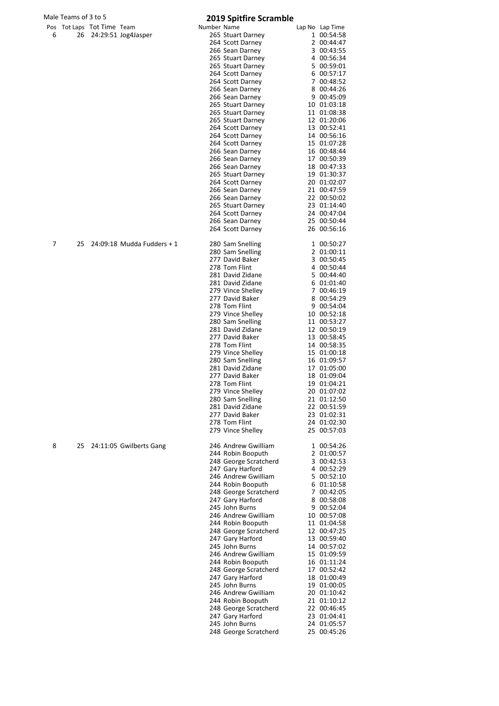|   | Male Teams of 3 to 5 |                            |                            |             | <b>2019 Spitfire Scramble</b>              |                            |
|---|----------------------|----------------------------|----------------------------|-------------|--------------------------------------------|----------------------------|
|   |                      | Pos Tot Laps Tot Time Team |                            | Number Name |                                            | Lap No Lap Time            |
| 6 | 26                   |                            | 24:29:51 Jog4Jasper        |             | 265 Stuart Darney                          | 1 00:54:58                 |
|   |                      |                            |                            |             | 264 Scott Darney<br>266 Sean Darney        | 2 00:44:47<br>3 00:43:55   |
|   |                      |                            |                            |             | 265 Stuart Darney                          | 4 00:56:34                 |
|   |                      |                            |                            |             | 265 Stuart Darney                          | 5 00:59:01                 |
|   |                      |                            |                            |             | 264 Scott Darney                           | 6 00:57:17                 |
|   |                      |                            |                            |             | 264 Scott Darney                           | 7 00:48:52                 |
|   |                      |                            |                            |             | 266 Sean Darney<br>266 Sean Darney         | 8 00:44:26<br>9 00:45:09   |
|   |                      |                            |                            |             | 265 Stuart Darney                          | 10 01:03:18                |
|   |                      |                            |                            |             | 265 Stuart Darney                          | 11 01:08:38                |
|   |                      |                            |                            |             | 265 Stuart Darney                          | 12 01:20:06                |
|   |                      |                            |                            |             | 264 Scott Darney<br>264 Scott Darney       | 13 00:52:41<br>14 00:56:16 |
|   |                      |                            |                            |             | 264 Scott Darney                           | 15 01:07:28                |
|   |                      |                            |                            |             | 266 Sean Darney                            | 16 00:48:44                |
|   |                      |                            |                            |             | 266 Sean Darney                            | 17 00:50:39                |
|   |                      |                            |                            |             | 266 Sean Darney                            | 18 00:47:33                |
|   |                      |                            |                            |             | 265 Stuart Darney<br>264 Scott Darney      | 19 01:30:37<br>20 01:02:07 |
|   |                      |                            |                            |             | 266 Sean Darney                            | 21 00:47:59                |
|   |                      |                            |                            |             | 266 Sean Darney                            | 22 00:50:02                |
|   |                      |                            |                            |             | 265 Stuart Darney                          | 23 01:14:40                |
|   |                      |                            |                            |             | 264 Scott Darney                           | 24 00:47:04<br>25 00:50:44 |
|   |                      |                            |                            |             | 266 Sean Darney<br>264 Scott Darney        | 26 00:56:16                |
|   |                      |                            |                            |             |                                            |                            |
| 7 | 25                   |                            | 24:09:18 Mudda Fudders + 1 |             | 280 Sam Snelling                           | 1 00:50:27                 |
|   |                      |                            |                            |             | 280 Sam Snelling<br>277 David Baker        | 2 01:00:11<br>3 00:50:45   |
|   |                      |                            |                            |             | 278 Tom Flint                              | 4 00:50:44                 |
|   |                      |                            |                            |             | 281 David Zidane                           | 5 00:44:40                 |
|   |                      |                            |                            |             | 281 David Zidane                           | 6 01:01:40                 |
|   |                      |                            |                            |             | 279 Vince Shelley<br>277 David Baker       | 7 00:46:19<br>8 00:54:29   |
|   |                      |                            |                            |             | 278 Tom Flint                              | 9 00:54:04                 |
|   |                      |                            |                            |             | 279 Vince Shelley                          | 10 00:52:18                |
|   |                      |                            |                            |             | 280 Sam Snelling                           | 11 00:53:27                |
|   |                      |                            |                            |             | 281 David Zidane                           | 12 00:50:19                |
|   |                      |                            |                            |             | 277 David Baker<br>278 Tom Flint           | 13 00:58:45<br>14 00:58:35 |
|   |                      |                            |                            |             | 279 Vince Shelley                          | 15 01:00:18                |
|   |                      |                            |                            |             | 280 Sam Snelling                           | 16 01:09:57                |
|   |                      |                            |                            |             | 281 David Zidane                           | 17 01:05:00                |
|   |                      |                            |                            |             | 277 David Baker<br>278 Tom Flint           | 18 01:09:04<br>19 01:04:21 |
|   |                      |                            |                            |             | 279 Vince Shelley                          | 20 01:07:02                |
|   |                      |                            |                            |             | 280 Sam Snelling                           | 21 01:12:50                |
|   |                      |                            |                            |             | 281 David Zidane                           | 22 00:51:59                |
|   |                      |                            |                            |             | 277 David Baker                            | 23 01:02:31                |
|   |                      |                            |                            |             | 278 Tom Flint<br>279 Vince Shelley         | 24 01:02:30<br>25 00:57:03 |
|   |                      |                            |                            |             |                                            |                            |
| 8 | 25                   |                            | 24:11:05 Gwilberts Gang    |             | 246 Andrew Gwilliam                        | 1 00:54:26                 |
|   |                      |                            |                            |             | 244 Robin Booputh<br>248 George Scratcherd | 2 01:00:57<br>3 00:42:53   |
|   |                      |                            |                            |             | 247 Gary Harford                           | 4 00:52:29                 |
|   |                      |                            |                            |             | 246 Andrew Gwilliam                        | 5 00:52:10                 |
|   |                      |                            |                            |             | 244 Robin Booputh                          | 6 01:10:58                 |
|   |                      |                            |                            |             | 248 George Scratcherd<br>247 Gary Harford  | 7 00:42:05<br>8 00:58:08   |
|   |                      |                            |                            |             | 245 John Burns                             | 9 00:52:04                 |
|   |                      |                            |                            |             | 246 Andrew Gwilliam                        | 10 00:57:08                |
|   |                      |                            |                            |             | 244 Robin Booputh                          | 11 01:04:58                |
|   |                      |                            |                            |             | 248 George Scratcherd                      | 12 00:47:25                |
|   |                      |                            |                            |             | 247 Gary Harford<br>245 John Burns         | 13 00:59:40<br>14 00:57:02 |
|   |                      |                            |                            |             | 246 Andrew Gwilliam                        | 15 01:09:59                |
|   |                      |                            |                            |             | 244 Robin Booputh                          | 16 01:11:24                |
|   |                      |                            |                            |             | 248 George Scratcherd                      | 17 00:52:42                |
|   |                      |                            |                            |             | 247 Gary Harford<br>245 John Burns         | 18 01:00:49                |
|   |                      |                            |                            |             | 246 Andrew Gwilliam                        | 19 01:00:05<br>20 01:10:42 |
|   |                      |                            |                            |             | 244 Robin Booputh                          | 21 01:10:12                |
|   |                      |                            |                            |             | 248 George Scratcherd                      | 22 00:46:45                |
|   |                      |                            |                            |             | 247 Gary Harford                           | 23 01:04:41                |
|   |                      |                            |                            |             | 245 John Burns<br>248 George Scratcherd    | 24 01:05:57<br>25 00:45:26 |
|   |                      |                            |                            |             |                                            |                            |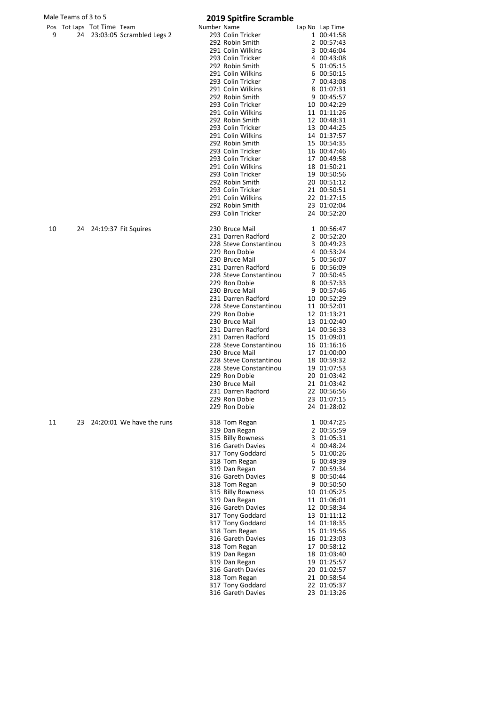|    | Male Teams of 3 to 5 |                            |                              |             | <b>2019 Spitfire Scramble</b>           |                            |
|----|----------------------|----------------------------|------------------------------|-------------|-----------------------------------------|----------------------------|
|    |                      | Pos Tot Laps Tot Time Team |                              | Number Name |                                         | Lap No Lap Time            |
| 9  |                      |                            | 24 23:03:05 Scrambled Legs 2 |             | 293 Colin Tricker                       | 1 00:41:58                 |
|    |                      |                            |                              |             | 292 Robin Smith<br>291 Colin Wilkins    | 2 00:57:43<br>3 00:46:04   |
|    |                      |                            |                              |             | 293 Colin Tricker                       | 4 00:43:08                 |
|    |                      |                            |                              |             | 292 Robin Smith                         | 5 01:05:15                 |
|    |                      |                            |                              |             | 291 Colin Wilkins                       | 6 00:50:15                 |
|    |                      |                            |                              |             | 293 Colin Tricker                       | 7 00:43:08                 |
|    |                      |                            |                              |             | 291 Colin Wilkins                       | 8 01:07:31                 |
|    |                      |                            |                              |             | 292 Robin Smith                         | 9 00:45:57                 |
|    |                      |                            |                              |             | 293 Colin Tricker                       | 10 00:42:29                |
|    |                      |                            |                              |             | 291 Colin Wilkins<br>292 Robin Smith    | 11 01:11:26<br>12 00:48:31 |
|    |                      |                            |                              |             | 293 Colin Tricker                       | 13 00:44:25                |
|    |                      |                            |                              |             | 291 Colin Wilkins                       | 14 01:37:57                |
|    |                      |                            |                              |             | 292 Robin Smith                         | 15 00:54:35                |
|    |                      |                            |                              |             | 293 Colin Tricker                       | 16 00:47:46                |
|    |                      |                            |                              |             | 293 Colin Tricker                       | 17 00:49:58                |
|    |                      |                            |                              |             | 291 Colin Wilkins                       | 18 01:50:21                |
|    |                      |                            |                              |             | 293 Colin Tricker                       | 19 00:50:56                |
|    |                      |                            |                              |             | 292 Robin Smith                         | 20 00:51:12                |
|    |                      |                            |                              |             | 293 Colin Tricker<br>291 Colin Wilkins  | 21 00:50:51<br>22 01:27:15 |
|    |                      |                            |                              |             | 292 Robin Smith                         | 23 01:02:04                |
|    |                      |                            |                              |             | 293 Colin Tricker                       | 24 00:52:20                |
|    |                      |                            |                              |             |                                         |                            |
| 10 |                      |                            | 24 24:19:37 Fit Squires      |             | 230 Bruce Mail                          | 1 00:56:47                 |
|    |                      |                            |                              |             | 231 Darren Radford                      | 2 00:52:20                 |
|    |                      |                            |                              |             | 228 Steve Constantinou<br>229 Ron Dobie | 3 00:49:23<br>4 00:53:24   |
|    |                      |                            |                              |             | 230 Bruce Mail                          | 5 00:56:07                 |
|    |                      |                            |                              |             | 231 Darren Radford                      | 6 00:56:09                 |
|    |                      |                            |                              |             | 228 Steve Constantinou                  | 7 00:50:45                 |
|    |                      |                            |                              |             | 229 Ron Dobie                           | 8 00:57:33                 |
|    |                      |                            |                              |             | 230 Bruce Mail                          | 9 00:57:46                 |
|    |                      |                            |                              |             | 231 Darren Radford                      | 10 00:52:29                |
|    |                      |                            |                              |             | 228 Steve Constantinou                  | 11 00:52:01                |
|    |                      |                            |                              |             | 229 Ron Dobie                           | 12 01:13:21                |
|    |                      |                            |                              |             | 230 Bruce Mail<br>231 Darren Radford    | 13 01:02:40<br>14 00:56:33 |
|    |                      |                            |                              |             | 231 Darren Radford                      | 15 01:09:01                |
|    |                      |                            |                              |             | 228 Steve Constantinou                  | 16 01:16:16                |
|    |                      |                            |                              |             | 230 Bruce Mail                          | 17 01:00:00                |
|    |                      |                            |                              |             | 228 Steve Constantinou                  | 18 00:59:32                |
|    |                      |                            |                              |             | 228 Steve Constantinou                  | 19 01:07:53                |
|    |                      |                            |                              |             | 229 Ron Dobie                           | 20 01:03:42                |
|    |                      |                            |                              |             | 230 Bruce Mail                          | 21 01:03:42<br>22 00:56:56 |
|    |                      |                            |                              |             | 231 Darren Radford<br>229 Ron Dobie     | 23 01:07:15                |
|    |                      |                            |                              |             | 229 Ron Dobie                           | 24 01:28:02                |
|    |                      |                            |                              |             |                                         |                            |
| 11 | 23                   |                            | 24:20:01 We have the runs    |             | 318 Tom Regan                           | 1 00:47:25                 |
|    |                      |                            |                              |             | 319 Dan Regan<br>315 Billy Bowness      | 2 00:55:59<br>3 01:05:31   |
|    |                      |                            |                              |             | 316 Gareth Davies                       | 4 00:48:24                 |
|    |                      |                            |                              |             | 317 Tony Goddard                        | 5 01:00:26                 |
|    |                      |                            |                              |             | 318 Tom Regan                           | 6 00:49:39                 |
|    |                      |                            |                              |             | 319 Dan Regan                           | 7 00:59:34                 |
|    |                      |                            |                              |             | 316 Gareth Davies                       | 8 00:50:44                 |
|    |                      |                            |                              |             | 318 Tom Regan                           | 9 00:50:50                 |
|    |                      |                            |                              |             | 315 Billy Bowness                       | 10 01:05:25                |
|    |                      |                            |                              |             | 319 Dan Regan<br>316 Gareth Davies      | 11 01:06:01<br>12 00:58:34 |
|    |                      |                            |                              |             | 317 Tony Goddard                        | 13 01:11:12                |
|    |                      |                            |                              |             | 317 Tony Goddard                        | 14 01:18:35                |
|    |                      |                            |                              |             | 318 Tom Regan                           | 15 01:19:56                |
|    |                      |                            |                              |             | 316 Gareth Davies                       | 16 01:23:03                |
|    |                      |                            |                              |             | 318 Tom Regan                           | 17 00:58:12                |
|    |                      |                            |                              |             | 319 Dan Regan                           | 18 01:03:40                |
|    |                      |                            |                              |             | 319 Dan Regan                           | 19 01:25:57                |
|    |                      |                            |                              |             | 316 Gareth Davies<br>318 Tom Regan      | 20 01:02:57<br>21 00:58:54 |
|    |                      |                            |                              |             | 317 Tony Goddard                        | 22 01:05:37                |
|    |                      |                            |                              |             | 316 Gareth Davies                       | 23 01:13:26                |
|    |                      |                            |                              |             |                                         |                            |